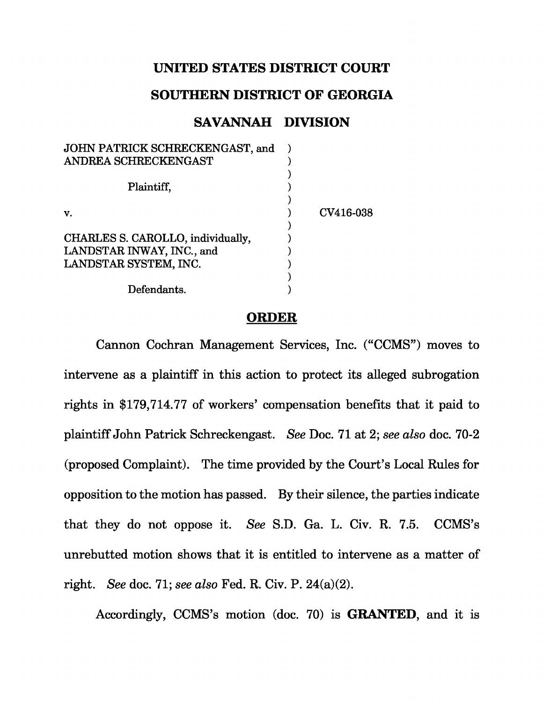## **UNITED STATES DISTRICT COURT**

## **SOUTHERN DISTRICT OF GEORGIA**

## **SAVANNAH DIVISION**

| JOHN PATRICK SCHRECKENGAST, and   |           |
|-----------------------------------|-----------|
| ANDREA SCHRECKENGAST              |           |
|                                   |           |
| Plaintiff,                        |           |
|                                   |           |
| v.                                | CV416-038 |
|                                   |           |
| CHARLES S. CAROLLO, individually, |           |
| LANDSTAR INWAY, INC., and         |           |
| LANDSTAR SYSTEM, INC.             |           |
|                                   |           |
| Defendants.                       |           |
|                                   |           |

## **ORDER**

Cannon Cochran Management Services, Inc. ("CCMS") moves to intervene as a plaintiff in this action to protect its alleged subrogation rights in \$179,714.77 of workers' compensation benefits that it paid to plaintiff John Patrick Schreckengast. See Doc. 71 at 2; see also doc. 70-2 (proposed Complaint). The time provided by the Court's Local Rules for opposition to the motion has passed. By their silence, the parties indicate that they do not oppose it. See S.D. Ga. L. Civ. R. 7.5. CCMS's unrebutted motion shows that it is entitled to intervene as a matter of right. See doc. 71; see also Fed. R. Civ. P.  $24(a)(2)$ .

Accordingly, CCMS's motion (doc. 70) is **GRANTED**, and it is